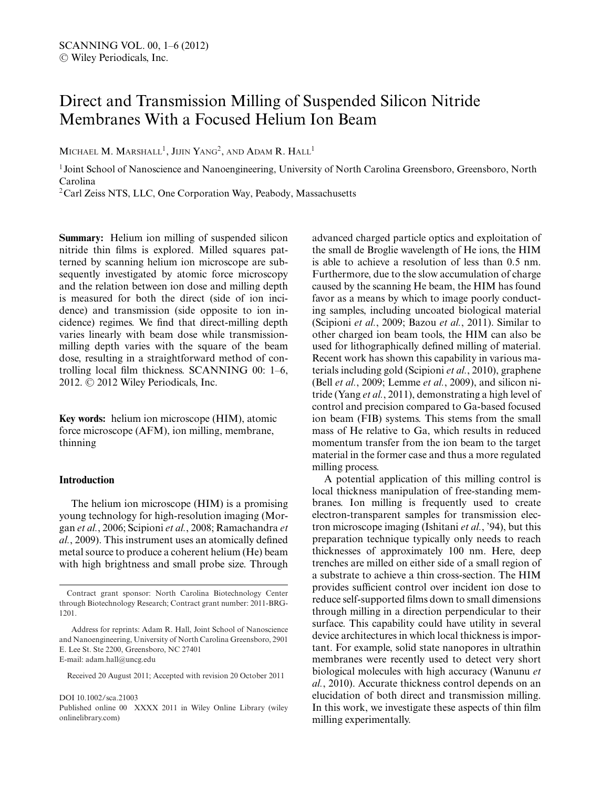# Direct and Transmission Milling of Suspended Silicon Nitride Membranes With a Focused Helium Ion Beam

MICHAEL M. MARSHALL<sup>1</sup>, JIJIN YANG<sup>2</sup>, AND ADAM R. HALL<sup>1</sup>

<sup>1</sup> Joint School of Nanoscience and Nanoengineering, University of North Carolina Greensboro, Greensboro, North Carolina

<sup>2</sup>Carl Zeiss NTS, LLC, One Corporation Way, Peabody, Massachusetts

**Summary:** Helium ion milling of suspended silicon nitride thin films is explored. Milled squares patterned by scanning helium ion microscope are subsequently investigated by atomic force microscopy and the relation between ion dose and milling depth is measured for both the direct (side of ion incidence) and transmission (side opposite to ion incidence) regimes. We find that direct-milling depth varies linearly with beam dose while transmissionmilling depth varies with the square of the beam dose, resulting in a straightforward method of controlling local film thickness. SCANNING 00: 1–6, 2012. © 2012 Wiley Periodicals, Inc.

**Key words:** helium ion microscope (HIM), atomic force microscope (AFM), ion milling, membrane, thinning

## **Introduction**

The helium ion microscope (HIM) is a promising young technology for high-resolution imaging (Morgan *et al.*, 2006; Scipioni *et al.*, 2008; Ramachandra *et al.*, 2009). This instrument uses an atomically defined metal source to produce a coherent helium (He) beam with high brightness and small probe size. Through

Received 20 August 2011; Accepted with revision 20 October 2011

DOI 10.1002/sca.21003

Published online 00 XXXX 2011 in Wiley Online Library (wiley onlinelibrary.com)

advanced charged particle optics and exploitation of the small de Broglie wavelength of He ions, the HIM is able to achieve a resolution of less than 0.5 nm. Furthermore, due to the slow accumulation of charge caused by the scanning He beam, the HIM has found favor as a means by which to image poorly conducting samples, including uncoated biological material (Scipioni *et al.*, 2009; Bazou *et al.*, 2011). Similar to other charged ion beam tools, the HIM can also be used for lithographically defined milling of material. Recent work has shown this capability in various materials including gold (Scipioni *et al.*, 2010), graphene (Bell *et al.*, 2009; Lemme *et al.*, 2009), and silicon nitride (Yang *et al.*, 2011), demonstrating a high level of control and precision compared to Ga-based focused ion beam (FIB) systems. This stems from the small mass of He relative to Ga, which results in reduced momentum transfer from the ion beam to the target material in the former case and thus a more regulated milling process.

A potential application of this milling control is local thickness manipulation of free-standing membranes. Ion milling is frequently used to create electron-transparent samples for transmission electron microscope imaging (Ishitani *et al.*, '94), but this preparation technique typically only needs to reach thicknesses of approximately 100 nm. Here, deep trenches are milled on either side of a small region of a substrate to achieve a thin cross-section. The HIM provides sufficient control over incident ion dose to reduce self-supported films down to small dimensions through milling in a direction perpendicular to their surface. This capability could have utility in several device architectures in which local thickness is important. For example, solid state nanopores in ultrathin membranes were recently used to detect very short biological molecules with high accuracy (Wanunu *et al.*, 2010). Accurate thickness control depends on an elucidation of both direct and transmission milling. In this work, we investigate these aspects of thin film milling experimentally.

Contract grant sponsor: North Carolina Biotechnology Center through Biotechnology Research; Contract grant number: 2011-BRG-1201.

Address for reprints: Adam R. Hall, Joint School of Nanoscience and Nanoengineering, University of North Carolina Greensboro, 2901 E. Lee St. Ste 2200, Greensboro, NC 27401 E-mail: adam.hall@uncg.edu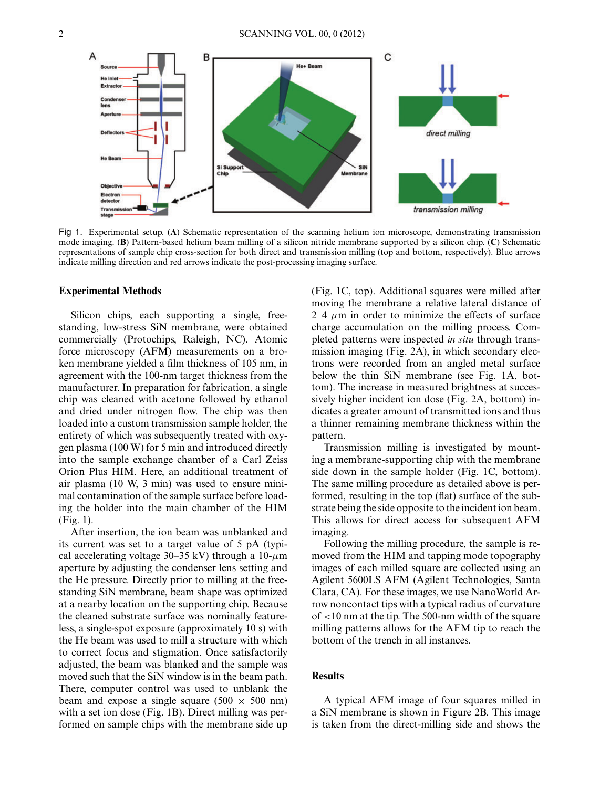

Fig 1. Experimental setup. (**A**) Schematic representation of the scanning helium ion microscope, demonstrating transmission mode imaging. (**B**) Pattern-based helium beam milling of a silicon nitride membrane supported by a silicon chip. (**C**) Schematic representations of sample chip cross-section for both direct and transmission milling (top and bottom, respectively). Blue arrows indicate milling direction and red arrows indicate the post-processing imaging surface.

### **Experimental Methods**

Silicon chips, each supporting a single, freestanding, low-stress SiN membrane, were obtained commercially (Protochips, Raleigh, NC). Atomic force microscopy (AFM) measurements on a broken membrane yielded a film thickness of 105 nm, in agreement with the 100-nm target thickness from the manufacturer. In preparation for fabrication, a single chip was cleaned with acetone followed by ethanol and dried under nitrogen flow. The chip was then loaded into a custom transmission sample holder, the entirety of which was subsequently treated with oxygen plasma (100 W) for 5 min and introduced directly into the sample exchange chamber of a Carl Zeiss Orion Plus HIM. Here, an additional treatment of air plasma (10 W, 3 min) was used to ensure minimal contamination of the sample surface before loading the holder into the main chamber of the HIM (Fig. 1).

After insertion, the ion beam was unblanked and its current was set to a target value of 5 pA (typical accelerating voltage 30–35 kV) through a  $10-\mu$ m aperture by adjusting the condenser lens setting and the He pressure. Directly prior to milling at the freestanding SiN membrane, beam shape was optimized at a nearby location on the supporting chip. Because the cleaned substrate surface was nominally featureless, a single-spot exposure (approximately 10 s) with the He beam was used to mill a structure with which to correct focus and stigmation. Once satisfactorily adjusted, the beam was blanked and the sample was moved such that the SiN window is in the beam path. There, computer control was used to unblank the beam and expose a single square (500  $\times$  500 nm) with a set ion dose (Fig. 1B). Direct milling was performed on sample chips with the membrane side up

(Fig. 1C, top). Additional squares were milled after moving the membrane a relative lateral distance of  $2-4 \mu m$  in order to minimize the effects of surface charge accumulation on the milling process. Completed patterns were inspected *in situ* through transmission imaging (Fig. 2A), in which secondary electrons were recorded from an angled metal surface below the thin SiN membrane (see Fig. 1A, bottom). The increase in measured brightness at successively higher incident ion dose (Fig. 2A, bottom) indicates a greater amount of transmitted ions and thus a thinner remaining membrane thickness within the pattern.

Transmission milling is investigated by mounting a membrane-supporting chip with the membrane side down in the sample holder (Fig. 1C, bottom). The same milling procedure as detailed above is performed, resulting in the top (flat) surface of the substrate being the side opposite to the incident ion beam. This allows for direct access for subsequent AFM imaging.

Following the milling procedure, the sample is removed from the HIM and tapping mode topography images of each milled square are collected using an Agilent 5600LS AFM (Agilent Technologies, Santa Clara, CA). For these images, we use NanoWorld Arrow noncontact tips with a typical radius of curvature of <10 nm at the tip. The 500-nm width of the square milling patterns allows for the AFM tip to reach the bottom of the trench in all instances.

## **Results**

A typical AFM image of four squares milled in a SiN membrane is shown in Figure 2B. This image is taken from the direct-milling side and shows the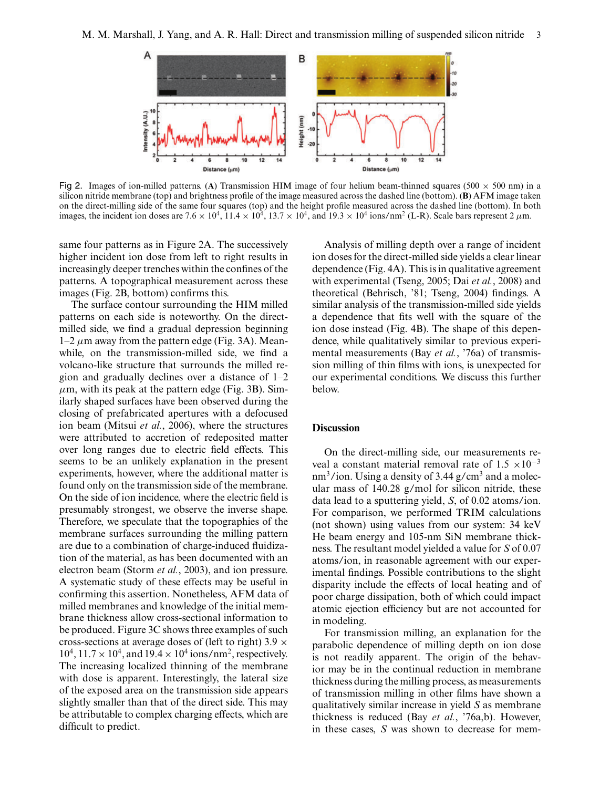

Fig 2. Images of ion-milled patterns. (A) Transmission HIM image of four helium beam-thinned squares (500  $\times$  500 nm) in a silicon nitride membrane (top) and brightness profile of the image measured across the dashed line (bottom). (**B**) AFM image taken on the direct-milling side of the same four squares (top) and the height profile measured across the dashed line (bottom). In both images, the incident ion doses are 7.6  $\times$  10<sup>4</sup>, 11.4  $\times$  10<sup>4</sup>, 13.7  $\times$  10<sup>4</sup>, and 19.3  $\times$  10<sup>4</sup> ions/nm<sup>2</sup> (L-R). Scale bars represent 2  $\mu$ m.

same four patterns as in Figure 2A. The successively higher incident ion dose from left to right results in increasingly deeper trenches within the confines of the patterns. A topographical measurement across these images (Fig. 2B, bottom) confirms this.

The surface contour surrounding the HIM milled patterns on each side is noteworthy. On the directmilled side, we find a gradual depression beginning  $1-2 \mu$ m away from the pattern edge (Fig. 3A). Meanwhile, on the transmission-milled side, we find a volcano-like structure that surrounds the milled region and gradually declines over a distance of 1–2  $\mu$ m, with its peak at the pattern edge (Fig. 3B). Similarly shaped surfaces have been observed during the closing of prefabricated apertures with a defocused ion beam (Mitsui *et al.*, 2006), where the structures were attributed to accretion of redeposited matter over long ranges due to electric field effects. This seems to be an unlikely explanation in the present experiments, however, where the additional matter is found only on the transmission side of the membrane. On the side of ion incidence, where the electric field is presumably strongest, we observe the inverse shape. Therefore, we speculate that the topographies of the membrane surfaces surrounding the milling pattern are due to a combination of charge-induced fluidization of the material, as has been documented with an electron beam (Storm *et al.*, 2003), and ion pressure. A systematic study of these effects may be useful in confirming this assertion. Nonetheless, AFM data of milled membranes and knowledge of the initial membrane thickness allow cross-sectional information to be produced. Figure 3C shows three examples of such cross-sections at average doses of (left to right) 3.9  $\times$  $10^4$ ,  $11.7 \times 10^4$ , and  $19.4 \times 10^4$  ions/nm<sup>2</sup>, respectively. The increasing localized thinning of the membrane with dose is apparent. Interestingly, the lateral size of the exposed area on the transmission side appears slightly smaller than that of the direct side. This may be attributable to complex charging effects, which are difficult to predict.

Analysis of milling depth over a range of incident ion doses for the direct-milled side yields a clear linear dependence (Fig. 4A). This is in qualitative agreement with experimental (Tseng, 2005; Dai *et al.*, 2008) and theoretical (Behrisch, '81; Tseng, 2004) findings. A similar analysis of the transmission-milled side yields a dependence that fits well with the square of the ion dose instead (Fig. 4B). The shape of this dependence, while qualitatively similar to previous experimental measurements (Bay *et al.*, '76a) of transmission milling of thin films with ions, is unexpected for our experimental conditions. We discuss this further below.

## **Discussion**

On the direct-milling side, our measurements reveal a constant material removal rate of  $1.5 \times 10^{-3}$  $nm<sup>3</sup>/ion$ . Using a density of 3.44 g/cm<sup>3</sup> and a molecular mass of 140.28 g/mol for silicon nitride, these data lead to a sputtering yield, *S*, of 0.02 atoms/ion. For comparison, we performed TRIM calculations (not shown) using values from our system: 34 keV He beam energy and 105-nm SiN membrane thickness. The resultant model yielded a value for *S* of 0.07 atoms/ion, in reasonable agreement with our experimental findings. Possible contributions to the slight disparity include the effects of local heating and of poor charge dissipation, both of which could impact atomic ejection efficiency but are not accounted for in modeling.

For transmission milling, an explanation for the parabolic dependence of milling depth on ion dose is not readily apparent. The origin of the behavior may be in the continual reduction in membrane thickness during the milling process, as measurements of transmission milling in other films have shown a qualitatively similar increase in yield *S* as membrane thickness is reduced (Bay *et al.*, '76a,b). However, in these cases, *S* was shown to decrease for mem-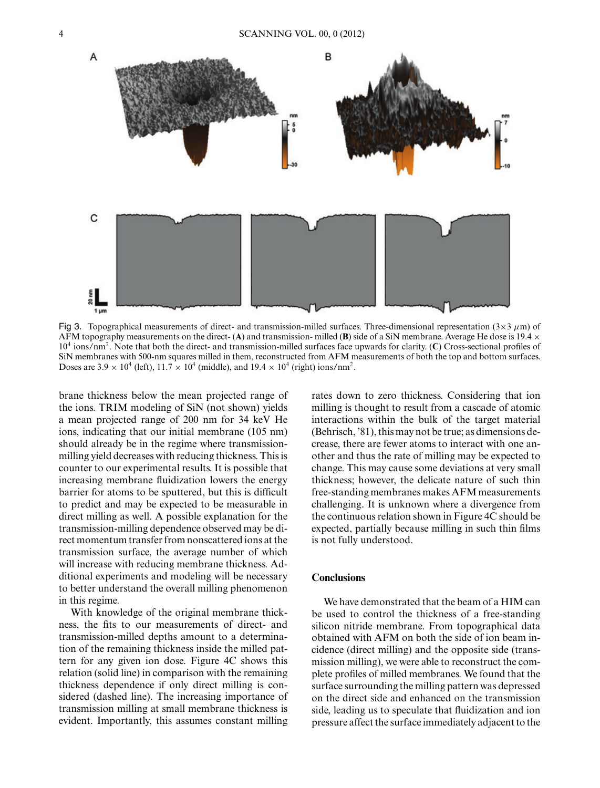

Fig 3. Topographical measurements of direct- and transmission-milled surfaces. Three-dimensional representation ( $3\times3 \mu$ m) of AFM topography measurements on the direct- $(A)$  and transmission- milled  $(B)$  side of a SiN membrane. Average He dose is 19.4  $\times$ 104 ions/nm2. Note that both the direct- and transmission-milled surfaces face upwards for clarity. (**C**) Cross-sectional profiles of SiN membranes with 500-nm squares milled in them, reconstructed from AFM measurements of both the top and bottom surfaces. Doses are  $3.9 \times 10^4$  (left),  $11.7 \times 10^4$  (middle), and  $19.4 \times 10^4$  (right) ions/nm<sup>2</sup>.

brane thickness below the mean projected range of the ions. TRIM modeling of SiN (not shown) yields a mean projected range of 200 nm for 34 keV He ions, indicating that our initial membrane (105 nm) should already be in the regime where transmissionmilling yield decreases with reducing thickness. This is counter to our experimental results. It is possible that increasing membrane fluidization lowers the energy barrier for atoms to be sputtered, but this is difficult to predict and may be expected to be measurable in direct milling as well. A possible explanation for the transmission-milling dependence observed may be direct momentum transfer from nonscattered ions at the transmission surface, the average number of which will increase with reducing membrane thickness. Additional experiments and modeling will be necessary to better understand the overall milling phenomenon in this regime.

With knowledge of the original membrane thickness, the fits to our measurements of direct- and transmission-milled depths amount to a determination of the remaining thickness inside the milled pattern for any given ion dose. Figure 4C shows this relation (solid line) in comparison with the remaining thickness dependence if only direct milling is considered (dashed line). The increasing importance of transmission milling at small membrane thickness is evident. Importantly, this assumes constant milling rates down to zero thickness. Considering that ion milling is thought to result from a cascade of atomic interactions within the bulk of the target material (Behrisch, '81), this may not be true; as dimensions decrease, there are fewer atoms to interact with one another and thus the rate of milling may be expected to change. This may cause some deviations at very small thickness; however, the delicate nature of such thin free-standing membranes makes AFM measurements challenging. It is unknown where a divergence from the continuous relation shown in Figure 4C should be expected, partially because milling in such thin films is not fully understood.

## **Conclusions**

We have demonstrated that the beam of a HIM can be used to control the thickness of a free-standing silicon nitride membrane. From topographical data obtained with AFM on both the side of ion beam incidence (direct milling) and the opposite side (transmission milling), we were able to reconstruct the complete profiles of milled membranes. We found that the surface surrounding the milling pattern was depressed on the direct side and enhanced on the transmission side, leading us to speculate that fluidization and ion pressure affect the surface immediately adjacent to the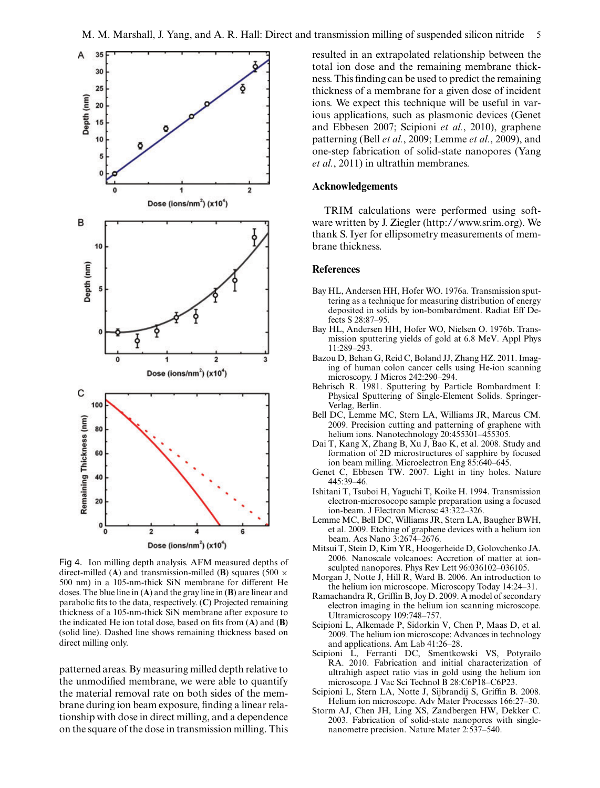

Fig 4. Ion milling depth analysis. AFM measured depths of direct-milled (**A**) and transmission-milled (**B**) squares (500  $\times$ 500 nm) in a 105-nm-thick SiN membrane for different He doses. The blue line in (**A**) and the gray line in (**B**) are linear and parabolic fits to the data, respectively. (**C**) Projected remaining thickness of a 105-nm-thick SiN membrane after exposure to the indicated He ion total dose, based on fits from (**A**) and (**B**) (solid line). Dashed line shows remaining thickness based on direct milling only.

patterned areas. By measuring milled depth relative to the unmodified membrane, we were able to quantify the material removal rate on both sides of the membrane during ion beam exposure, finding a linear relationship with dose in direct milling, and a dependence on the square of the dose in transmission milling. This resulted in an extrapolated relationship between the total ion dose and the remaining membrane thickness. This finding can be used to predict the remaining thickness of a membrane for a given dose of incident ions. We expect this technique will be useful in various applications, such as plasmonic devices (Genet and Ebbesen 2007; Scipioni *et al.*, 2010), graphene patterning (Bell *et al.*, 2009; Lemme *et al.*, 2009), and one-step fabrication of solid-state nanopores (Yang *et al.*, 2011) in ultrathin membranes.

# **Acknowledgements**

TRIM calculations were performed using software written by J. Ziegler (http://www.srim.org). We thank S. Iyer for ellipsometry measurements of membrane thickness.

### **References**

- Bay HL, Andersen HH, Hofer WO. 1976a. Transmission sputtering as a technique for measuring distribution of energy deposited in solids by ion-bombardment. Radiat Eff Defects S 28:87–95.
- Bay HL, Andersen HH, Hofer WO, Nielsen O. 1976b. Transmission sputtering yields of gold at 6.8 MeV. Appl Phys 11:289–293.
- Bazou D, Behan G, Reid C, Boland JJ, Zhang HZ. 2011. Imaging of human colon cancer cells using He-ion scanning microscopy. J Micros 242:290–294.
- Behrisch R. 1981. Sputtering by Particle Bombardment I: Physical Sputtering of Single-Element Solids. Springer-Verlag, Berlin.
- Bell DC, Lemme MC, Stern LA, Williams JR, Marcus CM. 2009. Precision cutting and patterning of graphene with helium ions. Nanotechnology 20:455301-455305.
- Dai T, Kang X, Zhang B, Xu J, Bao K, et al. 2008. Study and formation of 2D microstructures of sapphire by focused ion beam milling. Microelectron Eng 85:640–645.
- Genet C, Ebbesen TW. 2007. Light in tiny holes. Nature 445:39–46.
- Ishitani T, Tsuboi H, Yaguchi T, Koike H. 1994. Transmission electron-microsocope sample preparation using a focused ion-beam. J Electron Microsc 43:322–326.
- Lemme MC, Bell DC, Williams JR, Stern LA, Baugher BWH, et al. 2009. Etching of graphene devices with a helium ion beam. Acs Nano 3:2674–2676.
- Mitsui T, Stein D, Kim YR, Hoogerheide D, Golovchenko JA. 2006. Nanoscale volcanoes: Accretion of matter at ionsculpted nanopores. Phys Rev Lett 96:036102–036105.
- Morgan J, Notte J, Hill R, Ward B. 2006. An introduction to the helium ion microscope. Microscopy Today 14:24–31.
- Ramachandra R, Griffin B, Joy D. 2009. A model of secondary electron imaging in the helium ion scanning microscope. Ultramicroscopy 109:748–757.
- Scipioni L, Alkemade P, Sidorkin V, Chen P, Maas D, et al. 2009. The helium ion microscope: Advances in technology and applications. Am Lab 41:26–28.
- Scipioni L, Ferranti DC, Smentkowski VS, Potyrailo RA. 2010. Fabrication and initial characterization of ultrahigh aspect ratio vias in gold using the helium ion microscope. J Vac Sci Technol B 28:C6P18–C6P23.
- Scipioni L, Stern LA, Notte J, Sijbrandij S, Griffin B. 2008. Helium ion microscope. Adv Mater Processes 166:27–30.
- Storm AJ, Chen JH, Ling XS, Zandbergen HW, Dekker C. 2003. Fabrication of solid-state nanopores with singlenanometre precision. Nature Mater 2:537–540.